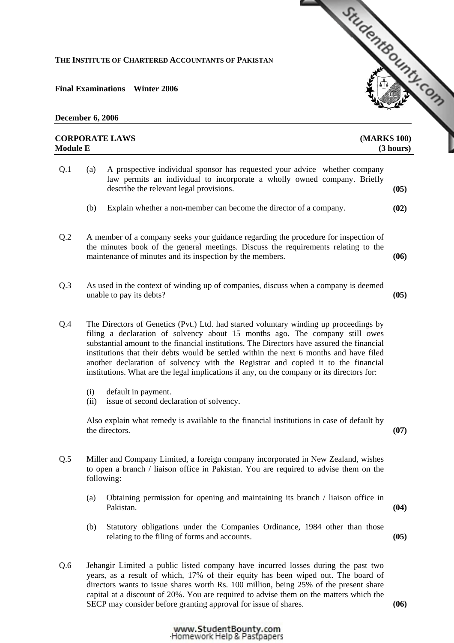## **THE INSTITUTE OF CHARTERED ACCOUNTANTS OF PAKISTAN**

**Final Examinations Winter 2006** 

**December 6, 2006** 

## **CORPORATE LAWS [\(MARKS 100\)](http://www.studentbounty.com)**

|     | <b>Module E</b> |                                                                                                                                                                                                                                                                                                                                                                                                                                                                                                                                                  |      |
|-----|-----------------|--------------------------------------------------------------------------------------------------------------------------------------------------------------------------------------------------------------------------------------------------------------------------------------------------------------------------------------------------------------------------------------------------------------------------------------------------------------------------------------------------------------------------------------------------|------|
| Q.1 | (a)             | A prospective individual sponsor has requested your advice whether company<br>law permits an individual to incorporate a wholly owned company. Briefly<br>describe the relevant legal provisions.                                                                                                                                                                                                                                                                                                                                                | (05) |
|     | (b)             | Explain whether a non-member can become the director of a company.                                                                                                                                                                                                                                                                                                                                                                                                                                                                               | (02) |
| Q.2 |                 | A member of a company seeks your guidance regarding the procedure for inspection of<br>the minutes book of the general meetings. Discuss the requirements relating to the<br>maintenance of minutes and its inspection by the members.                                                                                                                                                                                                                                                                                                           | (06) |
| Q.3 |                 | As used in the context of winding up of companies, discuss when a company is deemed<br>unable to pay its debts?                                                                                                                                                                                                                                                                                                                                                                                                                                  | (05) |
| Q.4 |                 | The Directors of Genetics (Pvt.) Ltd. had started voluntary winding up proceedings by<br>filing a declaration of solvency about 15 months ago. The company still owes<br>substantial amount to the financial institutions. The Directors have assured the financial<br>institutions that their debts would be settled within the next 6 months and have filed<br>another declaration of solvency with the Registrar and copied it to the financial<br>institutions. What are the legal implications if any, on the company or its directors for: |      |
|     | (i)<br>(ii)     | default in payment.<br>issue of second declaration of solvency.                                                                                                                                                                                                                                                                                                                                                                                                                                                                                  |      |
|     |                 | Also explain what remedy is available to the financial institutions in case of default by<br>the directors.                                                                                                                                                                                                                                                                                                                                                                                                                                      | (07) |
| Q.5 |                 | Miller and Company Limited, a foreign company incorporated in New Zealand, wishes<br>to open a branch / liaison office in Pakistan. You are required to advise them on the<br>following:                                                                                                                                                                                                                                                                                                                                                         |      |
|     | (a)             | Obtaining permission for opening and maintaining its branch / liaison office in<br>Pakistan.                                                                                                                                                                                                                                                                                                                                                                                                                                                     | (04) |
|     | (b)             | Statutory obligations under the Companies Ordinance, 1984 other than those<br>relating to the filing of forms and accounts.                                                                                                                                                                                                                                                                                                                                                                                                                      | (05) |
| Q.6 |                 | Jehangir Limited a public listed company have incurred losses during the past two<br>years, as a result of which, 17% of their equity has been wiped out. The board of                                                                                                                                                                                                                                                                                                                                                                           |      |

StudentBounds Com

years, as a result of which, 17% of their equity has been wiped out. The board of directors wants to issue shares worth Rs. 100 million, being 25% of the present share capital at a discount of 20%. You are required to advise them on the matters which the SECP may consider before granting approval for issue of shares. **(06)** 

www.StudentBounty.com<br>Homework Help & Pastpapers